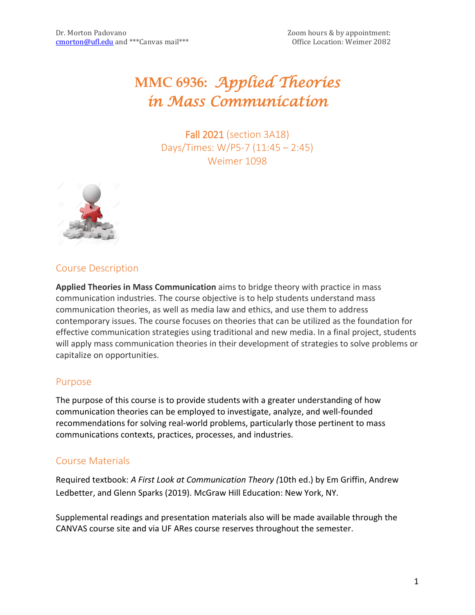# **MMC 6936:** *Applied Theories in Mass Communication*

Fall 2021 (section 3A18) Days/Times: W/P5-7 (11:45 – 2:45) Weimer 1098



# Course Description

**Applied Theories in Mass Communication** aims to bridge theory with practice in mass communication industries. The course objective is to help students understand mass communication theories, as well as media law and ethics, and use them to address contemporary issues. The course focuses on theories that can be utilized as the foundation for effective communication strategies using traditional and new media. In a final project, students will apply mass communication theories in their development of strategies to solve problems or capitalize on opportunities.

## Purpose

The purpose of this course is to provide students with a greater understanding of how communication theories can be employed to investigate, analyze, and well-founded recommendations for solving real-world problems, particularly those pertinent to mass communications contexts, practices, processes, and industries.

# Course Materials

Required textbook: *A First Look at Communication Theory (*10th ed.) by Em Griffin, Andrew Ledbetter, and Glenn Sparks (2019). McGraw Hill Education: New York, NY.

Supplemental readings and presentation materials also will be made available through the CANVAS course site and via UF ARes course reserves throughout the semester.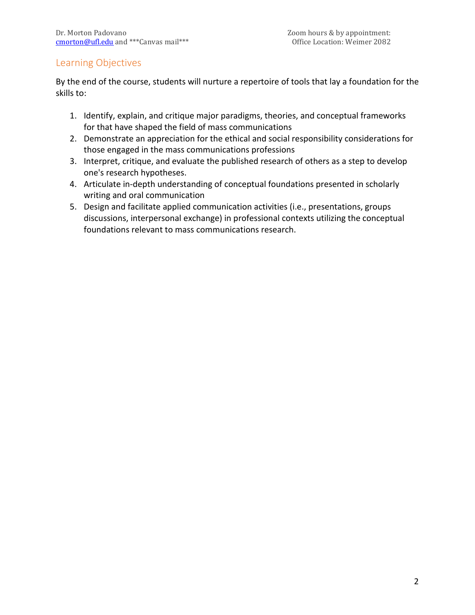## Learning Objectives

By the end of the course, students will nurture a repertoire of tools that lay a foundation for the skills to:

- 1. Identify, explain, and critique major paradigms, theories, and conceptual frameworks for that have shaped the field of mass communications
- 2. Demonstrate an appreciation for the ethical and social responsibility considerations for those engaged in the mass communications professions
- 3. Interpret, critique, and evaluate the published research of others as a step to develop one's research hypotheses.
- 4. Articulate in-depth understanding of conceptual foundations presented in scholarly writing and oral communication
- 5. Design and facilitate applied communication activities (i.e., presentations, groups discussions, interpersonal exchange) in professional contexts utilizing the conceptual foundations relevant to mass communications research.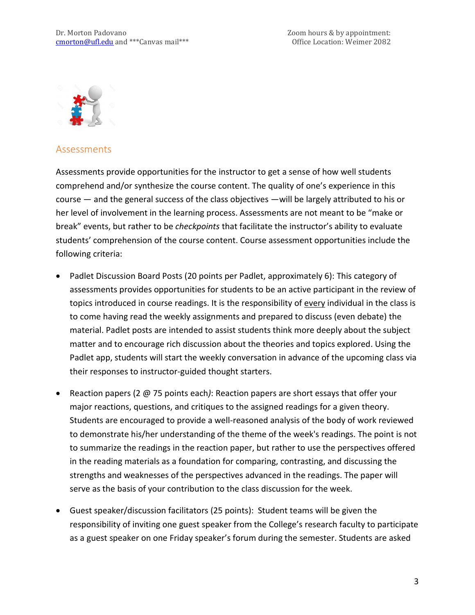

## Assessments

Assessments provide opportunities for the instructor to get a sense of how well students comprehend and/or synthesize the course content. The quality of one's experience in this course — and the general success of the class objectives —will be largely attributed to his or her level of involvement in the learning process. Assessments are not meant to be "make or break" events, but rather to be *checkpoints* that facilitate the instructor's ability to evaluate students' comprehension of the course content. Course assessment opportunities include the following criteria:

- Padlet Discussion Board Posts (20 points per Padlet, approximately 6): This category of assessments provides opportunities for students to be an active participant in the review of topics introduced in course readings. It is the responsibility of every individual in the class is to come having read the weekly assignments and prepared to discuss (even debate) the material. Padlet posts are intended to assist students think more deeply about the subject matter and to encourage rich discussion about the theories and topics explored. Using the Padlet app, students will start the weekly conversation in advance of the upcoming class via their responses to instructor-guided thought starters.
- Reaction papers (2 @ 75 points each*)*: Reaction papers are short essays that offer your major reactions, questions, and critiques to the assigned readings for a given theory. Students are encouraged to provide a well-reasoned analysis of the body of work reviewed to demonstrate his/her understanding of the theme of the week's readings. The point is not to summarize the readings in the reaction paper, but rather to use the perspectives offered in the reading materials as a foundation for comparing, contrasting, and discussing the strengths and weaknesses of the perspectives advanced in the readings. The paper will serve as the basis of your contribution to the class discussion for the week.
- Guest speaker/discussion facilitators (25 points): Student teams will be given the responsibility of inviting one guest speaker from the College's research faculty to participate as a guest speaker on one Friday speaker's forum during the semester. Students are asked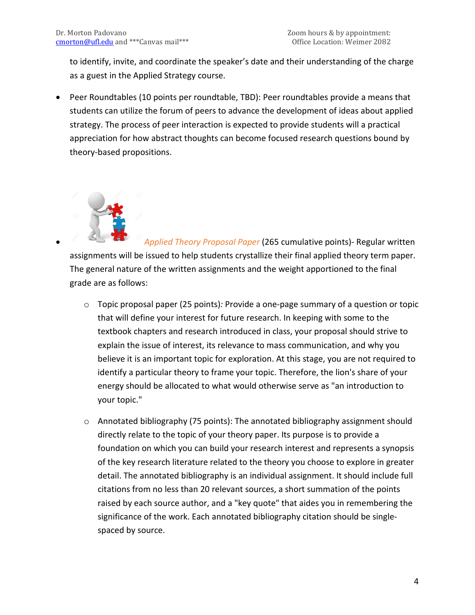to identify, invite, and coordinate the speaker's date and their understanding of the charge as a guest in the Applied Strategy course.

• Peer Roundtables (10 points per roundtable, TBD): Peer roundtables provide a means that students can utilize the forum of peers to advance the development of ideas about applied strategy. The process of peer interaction is expected to provide students will a practical appreciation for how abstract thoughts can become focused research questions bound by theory-based propositions.



• *Applied Theory Proposal Paper* (265 cumulative points)- Regular written assignments will be issued to help students crystallize their final applied theory term paper. The general nature of the written assignments and the weight apportioned to the final grade are as follows:

- o Topic proposal paper (25 points)*:* Provide a one-page summary of a question or topic that will define your interest for future research. In keeping with some to the textbook chapters and research introduced in class, your proposal should strive to explain the issue of interest, its relevance to mass communication, and why you believe it is an important topic for exploration. At this stage, you are not required to identify a particular theory to frame your topic. Therefore, the lion's share of your energy should be allocated to what would otherwise serve as "an introduction to your topic."
- o Annotated bibliography (75 points): The annotated bibliography assignment should directly relate to the topic of your theory paper. Its purpose is to provide a foundation on which you can build your research interest and represents a synopsis of the key research literature related to the theory you choose to explore in greater detail. The annotated bibliography is an individual assignment. It should include full citations from no less than 20 relevant sources, a short summation of the points raised by each source author, and a "key quote" that aides you in remembering the significance of the work. Each annotated bibliography citation should be singlespaced by source.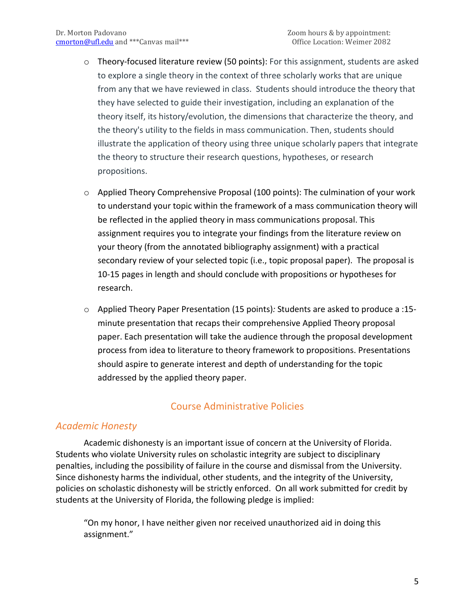- o Theory-focused literature review (50 points): For this assignment, students are asked to explore a single theory in the context of three scholarly works that are unique from any that we have reviewed in class. Students should introduce the theory that they have selected to guide their investigation, including an explanation of the theory itself, its history/evolution, the dimensions that characterize the theory, and the theory's utility to the fields in mass communication. Then, students should illustrate the application of theory using three unique scholarly papers that integrate the theory to structure their research questions, hypotheses, or research propositions.
- $\circ$  Applied Theory Comprehensive Proposal (100 points): The culmination of your work to understand your topic within the framework of a mass communication theory will be reflected in the applied theory in mass communications proposal. This assignment requires you to integrate your findings from the literature review on your theory (from the annotated bibliography assignment) with a practical secondary review of your selected topic (i.e., topic proposal paper). The proposal is 10-15 pages in length and should conclude with propositions or hypotheses for research.
- o Applied Theory Paper Presentation (15 points)*:* Students are asked to produce a :15 minute presentation that recaps their comprehensive Applied Theory proposal paper. Each presentation will take the audience through the proposal development process from idea to literature to theory framework to propositions. Presentations should aspire to generate interest and depth of understanding for the topic addressed by the applied theory paper.

# Course Administrative Policies

## *Academic Honesty*

Academic dishonesty is an important issue of concern at the University of Florida. Students who violate University rules on scholastic integrity are subject to disciplinary penalties, including the possibility of failure in the course and dismissal from the University. Since dishonesty harms the individual, other students, and the integrity of the University, policies on scholastic dishonesty will be strictly enforced. On all work submitted for credit by students at the University of Florida, the following pledge is implied:

"On my honor, I have neither given nor received unauthorized aid in doing this assignment."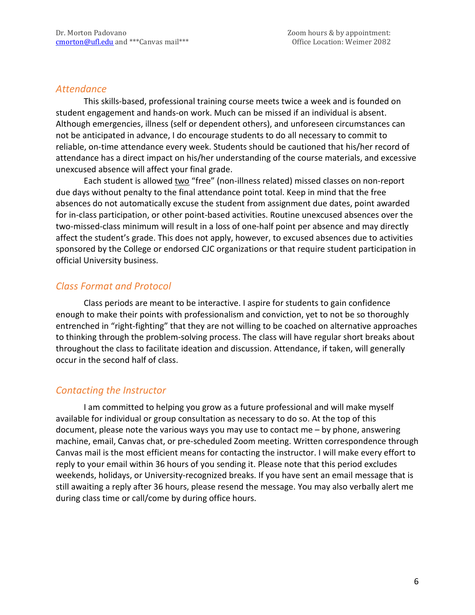#### *Attendance*

This skills-based, professional training course meets twice a week and is founded on student engagement and hands-on work. Much can be missed if an individual is absent. Although emergencies, illness (self or dependent others), and unforeseen circumstances can not be anticipated in advance, I do encourage students to do all necessary to commit to reliable, on-time attendance every week. Students should be cautioned that his/her record of attendance has a direct impact on his/her understanding of the course materials, and excessive unexcused absence will affect your final grade.

Each student is allowed two "free" (non-illness related) missed classes on non-report due days without penalty to the final attendance point total. Keep in mind that the free absences do not automatically excuse the student from assignment due dates, point awarded for in-class participation, or other point-based activities. Routine unexcused absences over the two-missed-class minimum will result in a loss of one-half point per absence and may directly affect the student's grade. This does not apply, however, to excused absences due to activities sponsored by the College or endorsed CJC organizations or that require student participation in official University business.

## *Class Format and Protocol*

Class periods are meant to be interactive. I aspire for students to gain confidence enough to make their points with professionalism and conviction, yet to not be so thoroughly entrenched in "right-fighting" that they are not willing to be coached on alternative approaches to thinking through the problem-solving process. The class will have regular short breaks about throughout the class to facilitate ideation and discussion. Attendance, if taken, will generally occur in the second half of class.

## *Contacting the Instructor*

I am committed to helping you grow as a future professional and will make myself available for individual or group consultation as necessary to do so. At the top of this document, please note the various ways you may use to contact me – by phone, answering machine, email, Canvas chat, or pre-scheduled Zoom meeting. Written correspondence through Canvas mail is the most efficient means for contacting the instructor. I will make every effort to reply to your email within 36 hours of you sending it. Please note that this period excludes weekends, holidays, or University-recognized breaks. If you have sent an email message that is still awaiting a reply after 36 hours, please resend the message. You may also verbally alert me during class time or call/come by during office hours.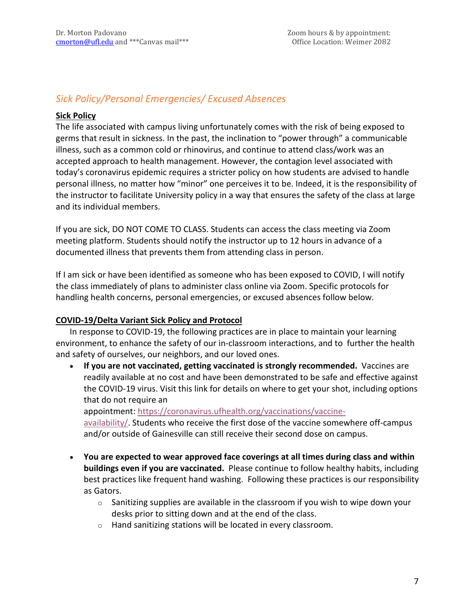# *Sick Policy/Personal Emergencies/ Excused Absences*

#### **Sick Policy**

The life associated with campus living unfortunately comes with the risk of being exposed to germs that result in sickness. In the past, the inclination to "power through" a communicable illness, such as a common cold or rhinovirus, and continue to attend class/work was an accepted approach to health management. However, the contagion level associated with today's coronavirus epidemic requires a stricter policy on how students are advised to handle personal illness, no matter how "minor" one perceives it to be. Indeed, it is the responsibility of the instructor to facilitate University policy in a way that ensures the safety of the class at large and its individual members.

If you are sick, DO NOT COME TO CLASS. Students can access the class meeting via Zoom meeting platform. Students should notify the instructor up to 12 hours in advance of a documented illness that prevents them from attending class in person.

If I am sick or have been identified as someone who has been exposed to COVID, I will notify the class immediately of plans to administer class online via Zoom. Specific protocols for handling health concerns, personal emergencies, or excused absences follow below.

#### **COVID-19/Delta Variant Sick Policy and Protocol**

In response to COVID-19, the following practices are in place to maintain your learning environment, to enhance the safety of our in-classroom interactions, and to further the health and safety of ourselves, our neighbors, and our loved ones.

• **If you are not vaccinated, getting vaccinated is strongly recommended.** Vaccines are readily available at no cost and have been demonstrated to be safe and effective against the COVID-19 virus. Visit this link for details on where to get your shot, including options that do not require an

appointment: [https://coronavirus.ufhealth.org/vaccinations/vaccine-](https://coronavirus.ufhealth.org/vaccinations/vaccine-availability/)

[availability/.](https://coronavirus.ufhealth.org/vaccinations/vaccine-availability/) Students who receive the first dose of the vaccine somewhere off-campus and/or outside of Gainesville can still receive their second dose on campus.

- **You are expected to wear approved face coverings at all times during class and within buildings even if you are vaccinated.** Please continue to follow healthy habits, including best practices like frequent hand washing. Following these practices is our responsibility as Gators.
	- $\circ$  Sanitizing supplies are available in the classroom if you wish to wipe down your desks prior to sitting down and at the end of the class.
	- o Hand sanitizing stations will be located in every classroom.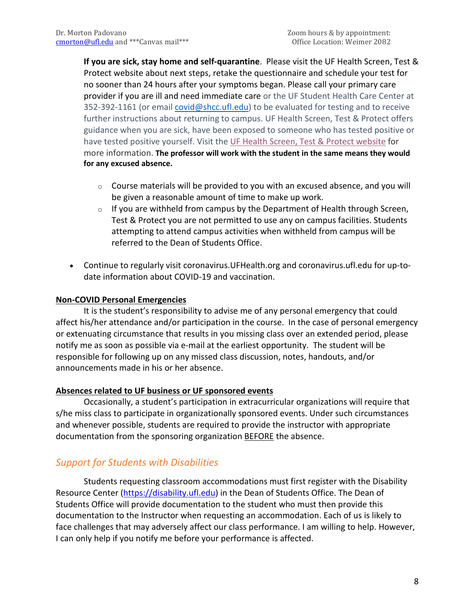**If you are sick, stay home and self-quarantine**. Please visit the UF Health Screen, Test & Protect website about next steps, retake the questionnaire and schedule your test for no sooner than 24 hours after your symptoms began. Please call your primary care provider if you are ill and need immediate care or the UF Student Health Care Center at 352-392-1161 (or email [covid@shcc.ufl.edu\)](mailto:covid@shcc.ufl.edu) to be evaluated for testing and to receive further instructions about returning to campus. UF Health Screen, Test & Protect offers guidance when you are sick, have been exposed to someone who has tested positive or have tested positive yourself. Visit the UF Health Screen, Test & Protect [website](https://click.info.gator360.ufl.edu/?qs=8f0d5e01a3f7385148f144e2089093522a358a8d85cb9db73c31675d3c5e5c0d27748d40c212f544822551342f1912ea5b4f2b890d5952e8) for more information. **The professor will work with the student in the same means they would for any excused absence.**

- $\circ$  Course materials will be provided to you with an excused absence, and you will be given a reasonable amount of time to make up work.
- $\circ$  If you are withheld from campus by the Department of Health through Screen, Test & Protect you are not permitted to use any on campus facilities. Students attempting to attend campus activities when withheld from campus will be referred to the Dean of Students Office.
- Continue to regularly visit coronavirus.UFHealth.org and coronavirus.ufl.edu for up-todate information about COVID-19 and vaccination.

#### **Non-COVID Personal Emergencies**

It is the student's responsibility to advise me of any personal emergency that could affect his/her attendance and/or participation in the course. In the case of personal emergency or extenuating circumstance that results in you missing class over an extended period, please notify me as soon as possible via e-mail at the earliest opportunity. The student will be responsible for following up on any missed class discussion, notes, handouts, and/or announcements made in his or her absence.

#### **Absences related to UF business or UF sponsored events**

Occasionally, a student's participation in extracurricular organizations will require that s/he miss class to participate in organizationally sponsored events. Under such circumstances and whenever possible, students are required to provide the instructor with appropriate documentation from the sponsoring organization **BEFORE** the absence.

# *Support for Students with Disabilities*

Students requesting classroom accommodations must first register with the Disability Resource Center [\(https://disability.ufl.edu\)](https://disability.ufl.edu/) in the Dean of Students Office. The Dean of Students Office will provide documentation to the student who must then provide this documentation to the Instructor when requesting an accommodation. Each of us is likely to face challenges that may adversely affect our class performance. I am willing to help. However, I can only help if you notify me before your performance is affected.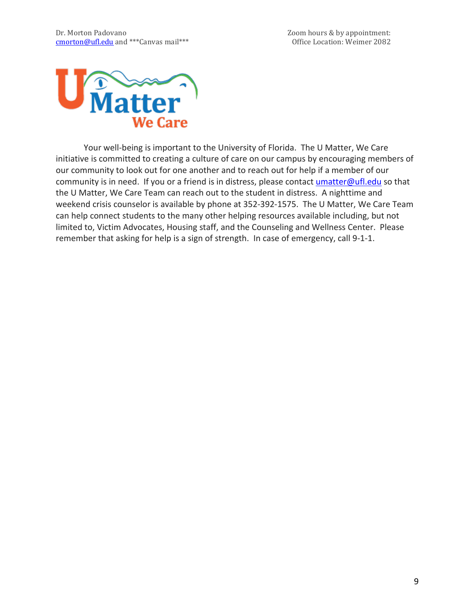

Your well-being is important to the University of Florida. The U Matter, We Care initiative is committed to creating a culture of care on our campus by encouraging members of our community to look out for one another and to reach out for help if a member of our community is in need. If you or a friend is in distress, please contact [umatter@ufl.edu](mailto:umatter@ufl.edu) so that the U Matter, We Care Team can reach out to the student in distress. A nighttime and weekend crisis counselor is available by phone at 352-392-1575. The U Matter, We Care Team can help connect students to the many other helping resources available including, but not limited to, Victim Advocates, Housing staff, and the Counseling and Wellness Center. Please remember that asking for help is a sign of strength. In case of emergency, call 9-1-1.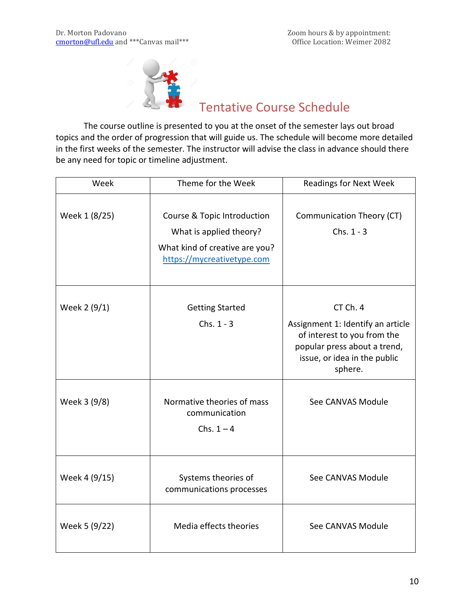

# Tentative Course Schedule

The course outline is presented to you at the onset of the semester lays out broad topics and the order of progression that will guide us. The schedule will become more detailed in the first weeks of the semester. The instructor will advise the class in advance should there be any need for topic or timeline adjustment.

| Week          | Theme for the Week                                                                                                     | <b>Readings for Next Week</b>                                                                                                                           |
|---------------|------------------------------------------------------------------------------------------------------------------------|---------------------------------------------------------------------------------------------------------------------------------------------------------|
| Week 1 (8/25) | Course & Topic Introduction<br>What is applied theory?<br>What kind of creative are you?<br>https://mycreativetype.com | Communication Theory (CT)<br>Chs. $1 - 3$                                                                                                               |
| Week 2 (9/1)  | <b>Getting Started</b><br>Chs. $1 - 3$                                                                                 | CT Ch. 4<br>Assignment 1: Identify an article<br>of interest to you from the<br>popular press about a trend,<br>issue, or idea in the public<br>sphere. |
| Week 3 (9/8)  | Normative theories of mass<br>communication<br>Chs. $1 - 4$                                                            | See CANVAS Module                                                                                                                                       |
| Week 4 (9/15) | Systems theories of<br>communications processes                                                                        | See CANVAS Module                                                                                                                                       |
| Week 5 (9/22) | Media effects theories                                                                                                 | See CANVAS Module                                                                                                                                       |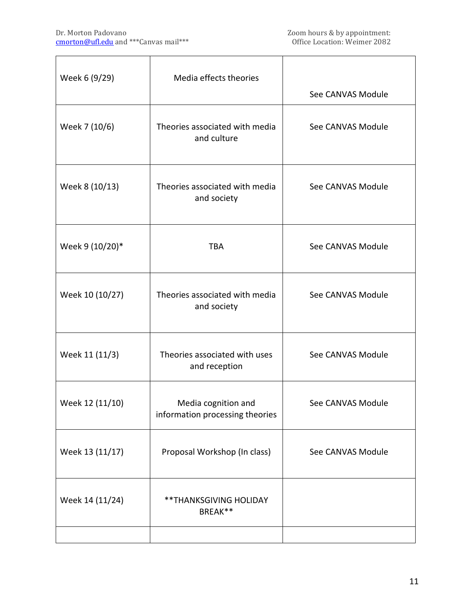| Week 6 (9/29)   | Media effects theories                                 |                   |
|-----------------|--------------------------------------------------------|-------------------|
|                 |                                                        | See CANVAS Module |
| Week 7 (10/6)   | Theories associated with media<br>and culture          | See CANVAS Module |
| Week 8 (10/13)  | Theories associated with media<br>and society          | See CANVAS Module |
| Week 9 (10/20)* | <b>TBA</b>                                             | See CANVAS Module |
| Week 10 (10/27) | Theories associated with media<br>and society          | See CANVAS Module |
| Week 11 (11/3)  | Theories associated with uses<br>and reception         | See CANVAS Module |
| Week 12 (11/10) | Media cognition and<br>information processing theories | See CANVAS Module |
| Week 13 (11/17) | Proposal Workshop (In class)                           | See CANVAS Module |
| Week 14 (11/24) | **THANKSGIVING HOLIDAY<br>BREAK**                      |                   |
|                 |                                                        |                   |